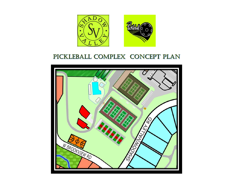

## PICKLEBALL COMPLEX CONCEPT PLAN